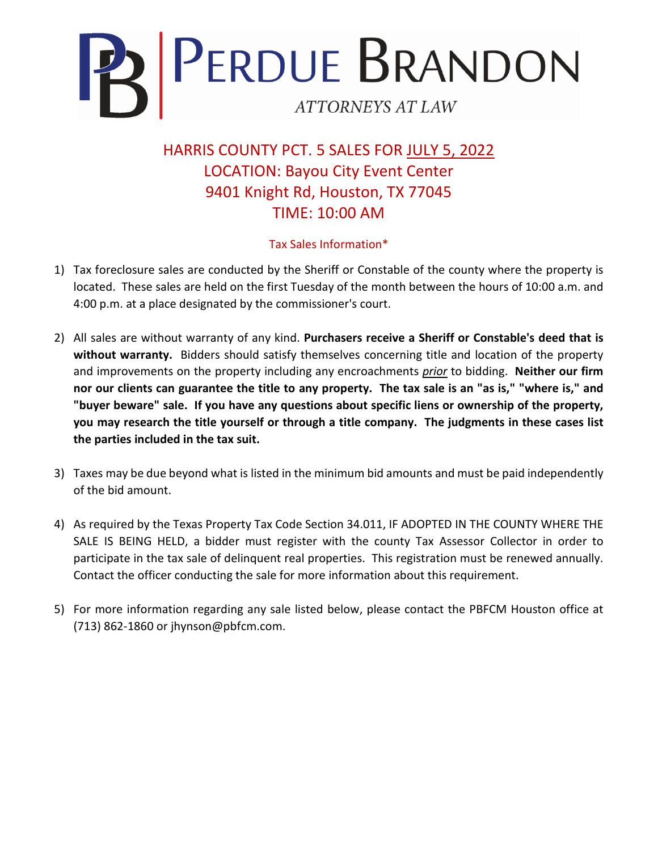

HARRIS COUNTY PCT. 5 SALES FOR JULY 5, 2022 LOCATION: Bayou City Event Center 9401 Knight Rd, Houston, TX 77045 TIME: 10:00 AM

## Tax Sales Information\*

- 1) Tax foreclosure sales are conducted by the Sheriff or Constable of the county where the property is located. These sales are held on the first Tuesday of the month between the hours of 10:00 a.m. and 4:00 p.m. at a place designated by the commissioner's court.
- 2) All sales are without warranty of any kind. **Purchasers receive a Sheriff or Constable's deed that is without warranty.** Bidders should satisfy themselves concerning title and location of the property and improvements on the property including any encroachments *prior* to bidding. **Neither our firm nor our clients can guarantee the title to any property. The tax sale is an "as is," "where is," and "buyer beware" sale. If you have any questions about specific liens or ownership of the property, you may research the title yourself or through a title company. The judgments in these cases list the parties included in the tax suit.**
- 3) Taxes may be due beyond what is listed in the minimum bid amounts and must be paid independently of the bid amount.
- 4) As required by the Texas Property Tax Code Section 34.011, IF ADOPTED IN THE COUNTY WHERE THE SALE IS BEING HELD, a bidder must register with the county Tax Assessor Collector in order to participate in the tax sale of delinquent real properties. This registration must be renewed annually. Contact the officer conducting the sale for more information about this requirement.
- 5) For more information regarding any sale listed below, please contact the PBFCM Houston office at (713) 862-1860 or jhynson@pbfcm.com.